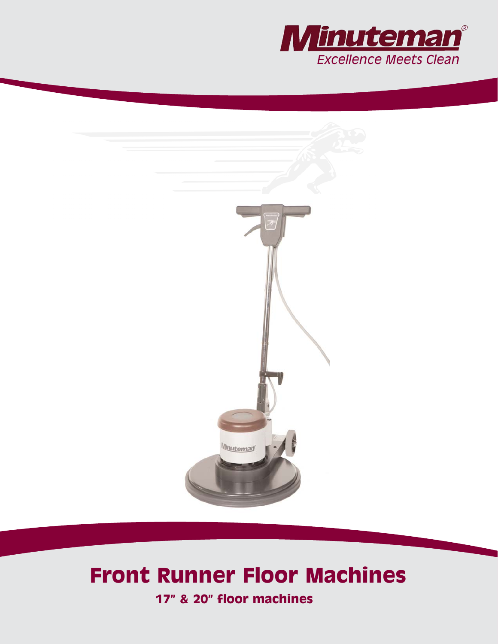



# **Front Runner Floor Machines**

**17" & 20" floor machines**